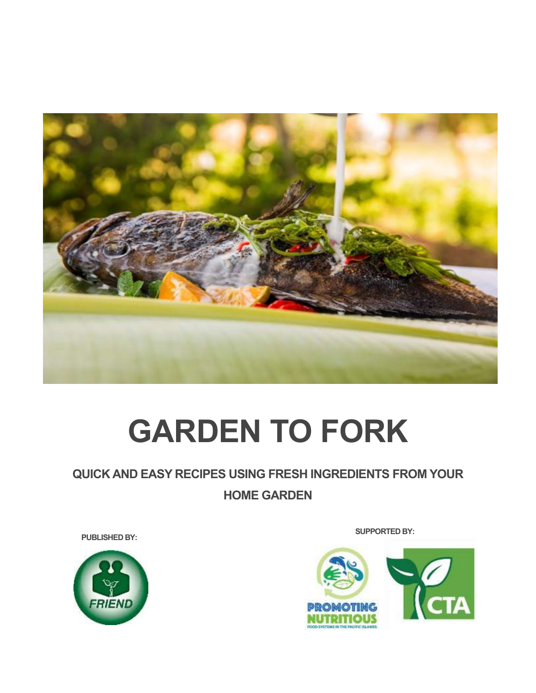

# **GARDEN TO FORK**

### **QUICK AND EASY RECIPES USING FRESH INGREDIENTS FROM YOUR HOME GARDEN**



**SUPPORTED BY: PUBLISHED BY:**

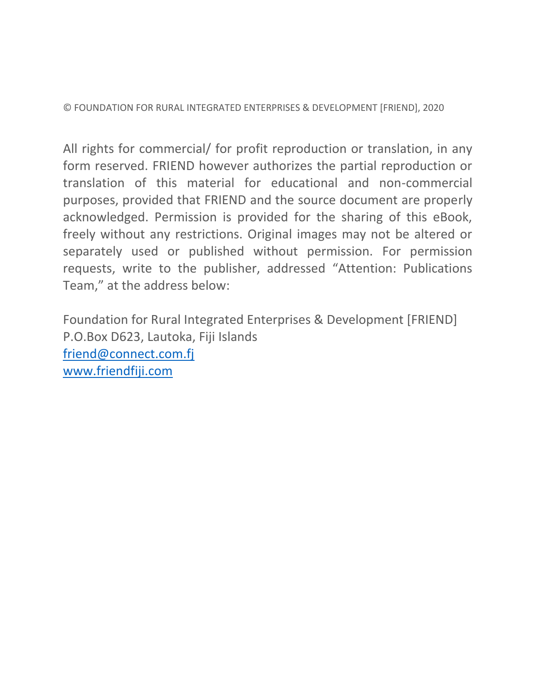© FOUNDATION FOR RURAL INTEGRATED ENTERPRISES & DEVELOPMENT [FRIEND], 2020

All rights for commercial/ for profit reproduction or translation, in any form reserved. FRIEND however authorizes the partial reproduction or translation of this material for educational and non-commercial purposes, provided that FRIEND and the source document are properly acknowledged. Permission is provided for the sharing of this eBook, freely without any restrictions. Original images may not be altered or separately used or published without permission. For permission requests, write to the publisher, addressed "Attention: Publications Team," at the address below:

Foundation for Rural Integrated Enterprises & Development [FRIEND] P.O.Box D623, Lautoka, Fiji Islands [friend@connect.com.fj](mailto:friend@connect.com.fj) [www.friendfiji.com](http://www.friendfiji.com/)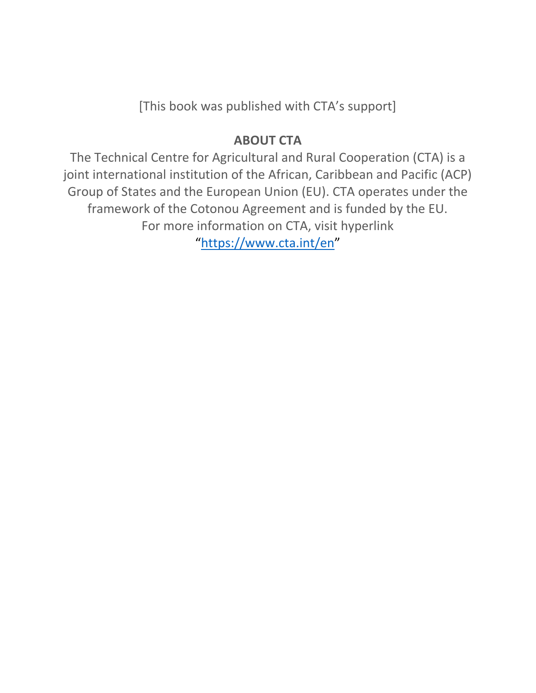[This book was published with CTA's support]

### **ABOUT CTA**

The Technical Centre for Agricultural and Rural Cooperation (CTA) is a joint international institution of the African, Caribbean and Pacific (ACP) Group of States and the European Union (EU). CTA operates under the framework of the Cotonou Agreement and is funded by the EU. For more information on CTA, visit hyperlink "<https://www.cta.int/en>"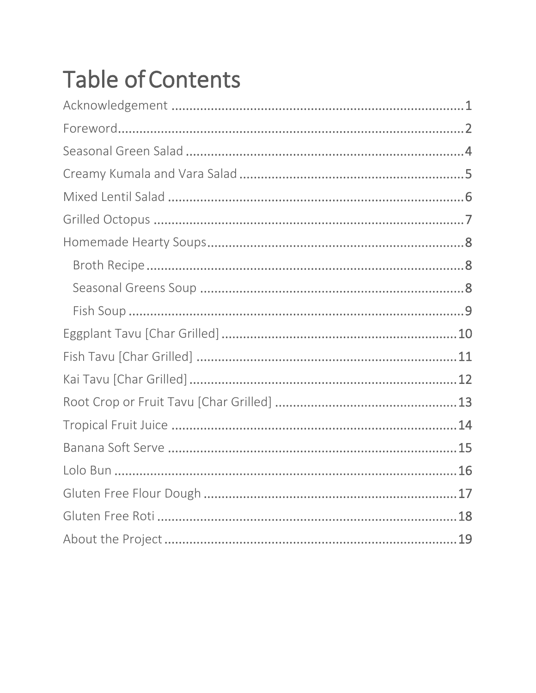## **Table of Contents**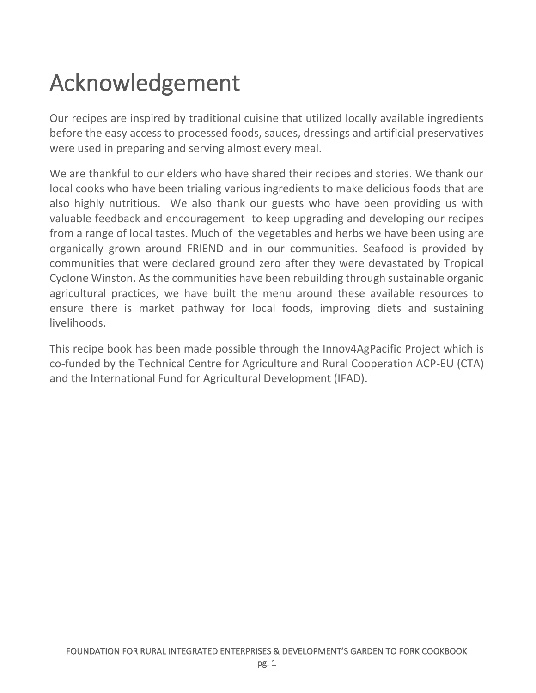### <span id="page-4-0"></span>Acknowledgement

Our recipes are inspired by traditional cuisine that utilized locally available ingredients before the easy access to processed foods, sauces, dressings and artificial preservatives were used in preparing and serving almost every meal.

We are thankful to our elders who have shared their recipes and stories. We thank our local cooks who have been trialing various ingredients to make delicious foods that are also highly nutritious. We also thank our guests who have been providing us with valuable feedback and encouragement to keep upgrading and developing our recipes from a range of local tastes. Much of the vegetables and herbs we have been using are organically grown around FRIEND and in our communities. Seafood is provided by communities that were declared ground zero after they were devastated by Tropical Cyclone Winston. As the communities have been rebuilding through sustainable organic agricultural practices, we have built the menu around these available resources to ensure there is market pathway for local foods, improving diets and sustaining livelihoods.

This recipe book has been made possible through the Innov4AgPacific Project which is co-funded by the Technical Centre for Agriculture and Rural Cooperation ACP-EU (CTA) and the International Fund for Agricultural Development (IFAD).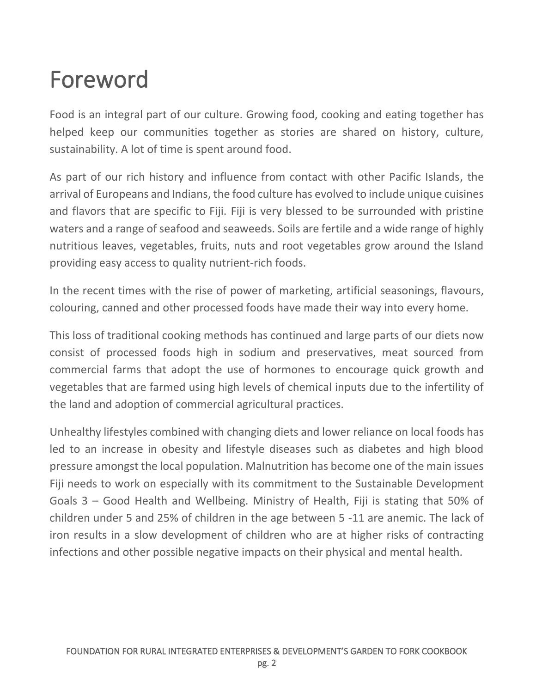### <span id="page-5-0"></span>Foreword

Food is an integral part of our culture. Growing food, cooking and eating together has helped keep our communities together as stories are shared on history, culture, sustainability. A lot of time is spent around food.

As part of our rich history and influence from contact with other Pacific Islands, the arrival of Europeans and Indians, the food culture has evolved to include unique cuisines and flavors that are specific to Fiji. Fiji is very blessed to be surrounded with pristine waters and a range of seafood and seaweeds. Soils are fertile and a wide range of highly nutritious leaves, vegetables, fruits, nuts and root vegetables grow around the Island providing easy access to quality nutrient-rich foods.

In the recent times with the rise of power of marketing, artificial seasonings, flavours, colouring, canned and other processed foods have made their way into every home.

This loss of traditional cooking methods has continued and large parts of our diets now consist of processed foods high in sodium and preservatives, meat sourced from commercial farms that adopt the use of hormones to encourage quick growth and vegetables that are farmed using high levels of chemical inputs due to the infertility of the land and adoption of commercial agricultural practices.

Unhealthy lifestyles combined with changing diets and lower reliance on local foods has led to an increase in obesity and lifestyle diseases such as diabetes and high blood pressure amongst the local population. Malnutrition has become one of the main issues Fiji needs to work on especially with its commitment to the Sustainable Development Goals 3 – Good Health and Wellbeing. Ministry of Health, Fiji is stating that 50% of children under 5 and 25% of children in the age between 5 -11 are anemic. The lack of iron results in a slow development of children who are at higher risks of contracting infections and other possible negative impacts on their physical and mental health.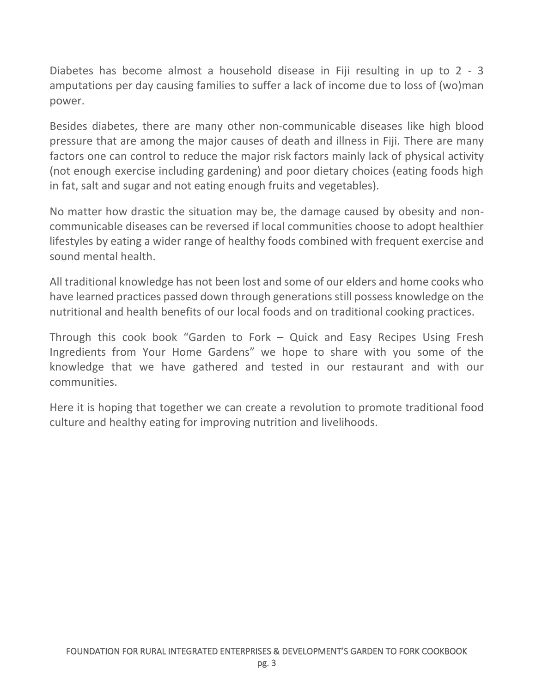Diabetes has become almost a household disease in Fiji resulting in up to 2 - 3 amputations per day causing families to suffer a lack of income due to loss of (wo)man power.

Besides diabetes, there are many other non-communicable diseases like high blood pressure that are among the major causes of death and illness in Fiji. There are many factors one can control to reduce the major risk factors mainly lack of physical activity (not enough exercise including gardening) and poor dietary choices (eating foods high in fat, salt and sugar and not eating enough fruits and vegetables).

No matter how drastic the situation may be, the damage caused by obesity and noncommunicable diseases can be reversed if local communities choose to adopt healthier lifestyles by eating a wider range of healthy foods combined with frequent exercise and sound mental health.

All traditional knowledge has not been lost and some of our elders and home cooks who have learned practices passed down through generations still possess knowledge on the nutritional and health benefits of our local foods and on traditional cooking practices.

Through this cook book "Garden to Fork – Quick and Easy Recipes Using Fresh Ingredients from Your Home Gardens" we hope to share with you some of the knowledge that we have gathered and tested in our restaurant and with our communities.

Here it is hoping that together we can create a revolution to promote traditional food culture and healthy eating for improving nutrition and livelihoods.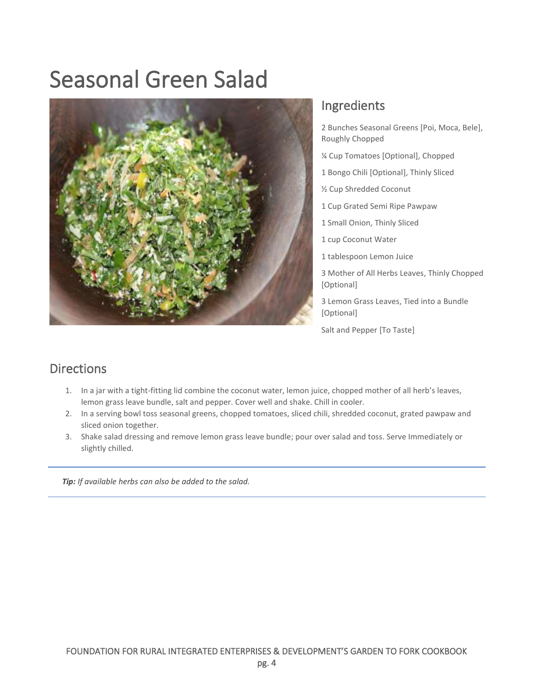### <span id="page-7-0"></span>Seasonal Green Salad



### Ingredients

2 Bunches Seasonal Greens [Poi, Moca, Bele], Roughly Chopped

- ¼ Cup Tomatoes [Optional], Chopped
- 1 Bongo Chili [Optional], Thinly Sliced
- ½ Cup Shredded Coconut
- 1 Cup Grated Semi Ripe Pawpaw
- 1 Small Onion, Thinly Sliced
- 1 cup Coconut Water
- 1 tablespoon Lemon Juice

3 Mother of All Herbs Leaves, Thinly Chopped [Optional]

3 Lemon Grass Leaves, Tied into a Bundle [Optional]

Salt and Pepper [To Taste]

### Directions

- 1. In a jar with a tight-fitting lid combine the coconut water, lemon juice, chopped mother of all herb's leaves, lemon grass leave bundle, salt and pepper. Cover well and shake. Chill in cooler.
- 2. In a serving bowl toss seasonal greens, chopped tomatoes, sliced chili, shredded coconut, grated pawpaw and sliced onion together.
- 3. Shake salad dressing and remove lemon grass leave bundle; pour over salad and toss. Serve Immediately or slightly chilled.

*Tip: If available herbs can also be added to the salad.*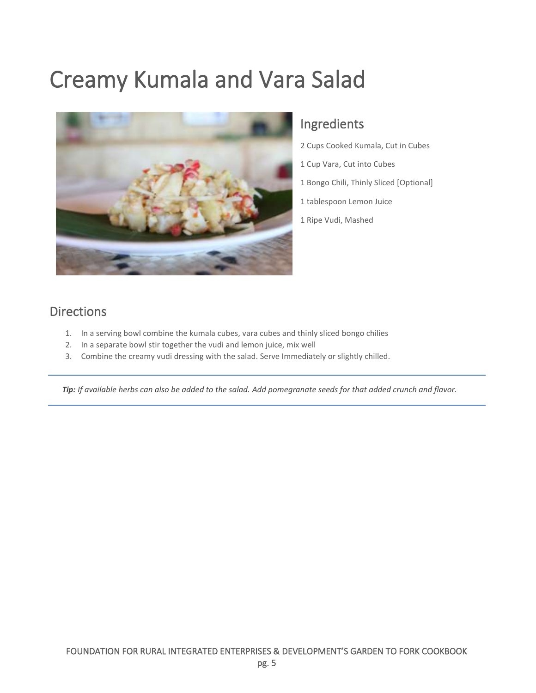### <span id="page-8-0"></span>Creamy Kumala and Vara Salad



### Ingredients

- 2 Cups Cooked Kumala, Cut in Cubes
- 1 Cup Vara, Cut into Cubes
- 1 Bongo Chili, Thinly Sliced [Optional]
- 1 tablespoon Lemon Juice
- 1 Ripe Vudi, Mashed

### Directions

- 1. In a serving bowl combine the kumala cubes, vara cubes and thinly sliced bongo chilies
- 2. In a separate bowl stir together the vudi and lemon juice, mix well
- 3. Combine the creamy vudi dressing with the salad. Serve Immediately or slightly chilled.

*Tip: If available herbs can also be added to the salad. Add pomegranate seeds for that added crunch and flavor.*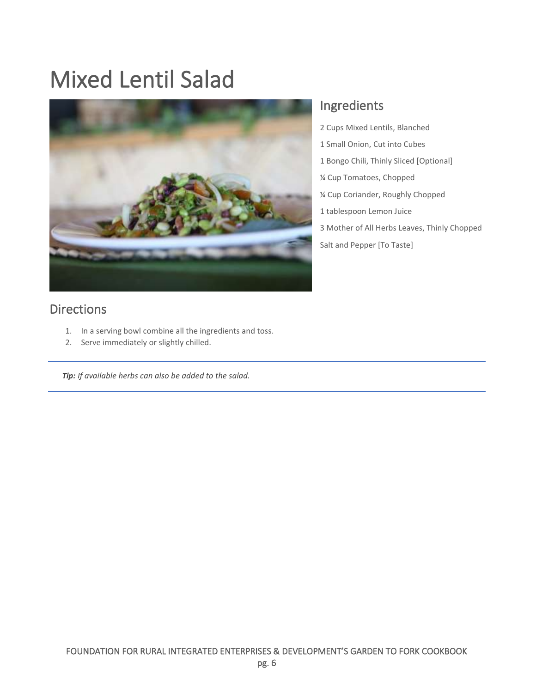### <span id="page-9-0"></span>Mixed Lentil Salad



#### **Directions**

- 1. In a serving bowl combine all the ingredients and toss.
- 2. Serve immediately or slightly chilled.

*Tip: If available herbs can also be added to the salad.* 

### Ingredients

- 2 Cups Mixed Lentils, Blanched
- 1 Small Onion, Cut into Cubes
- 1 Bongo Chili, Thinly Sliced [Optional]
- ¼ Cup Tomatoes, Chopped
- ¼ Cup Coriander, Roughly Chopped
- 1 tablespoon Lemon Juice
- 3 Mother of All Herbs Leaves, Thinly Chopped Salt and Pepper [To Taste]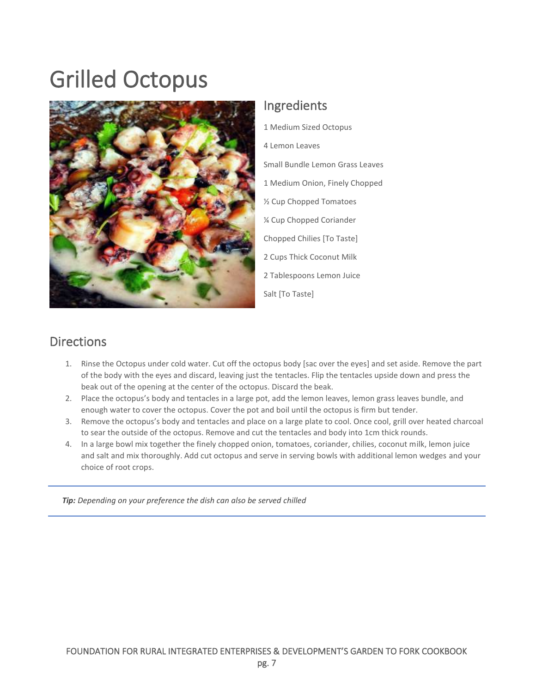### <span id="page-10-0"></span>Grilled Octopus



### Ingredients

1 Medium Sized Octopus 4 Lemon Leaves Small Bundle Lemon Grass Leaves 1 Medium Onion, Finely Chopped ½ Cup Chopped Tomatoes ¼ Cup Chopped Coriander Chopped Chilies [To Taste] 2 Cups Thick Coconut Milk 2 Tablespoons Lemon Juice Salt [To Taste]

#### **Directions**

- 1. Rinse the Octopus under cold water. Cut off the octopus body [sac over the eyes] and set aside. Remove the part of the body with the eyes and discard, leaving just the tentacles. Flip the tentacles upside down and press the beak out of the opening at the center of the octopus. Discard the beak.
- 2. Place the octopus's body and tentacles in a large pot, add the lemon leaves, lemon grass leaves bundle, and enough water to cover the octopus. Cover the pot and boil until the octopus is firm but tender.
- 3. Remove the octopus's body and tentacles and place on a large plate to cool. Once cool, grill over heated charcoal to sear the outside of the octopus. Remove and cut the tentacles and body into 1cm thick rounds.
- 4. In a large bowl mix together the finely chopped onion, tomatoes, coriander, chilies, coconut milk, lemon juice and salt and mix thoroughly. Add cut octopus and serve in serving bowls with additional lemon wedges and your choice of root crops.

*Tip: Depending on your preference the dish can also be served chilled*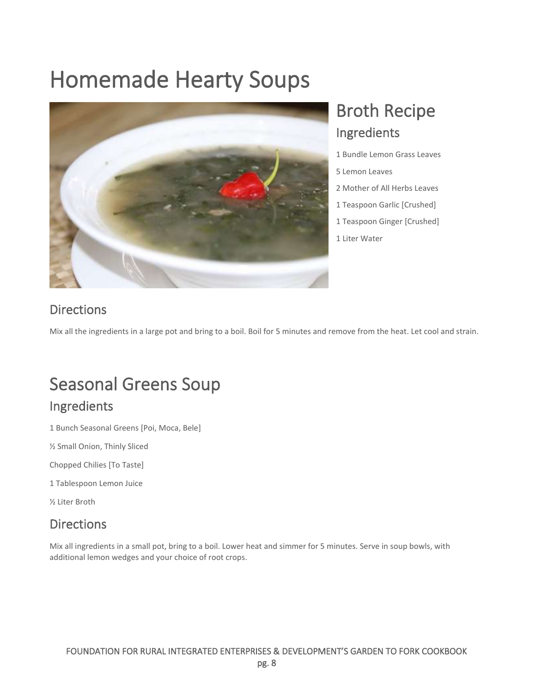### <span id="page-11-0"></span>Homemade Hearty Soups



### <span id="page-11-1"></span>Broth Recipe Ingredients

1 Bundle Lemon Grass Leaves

- 5 Lemon Leaves
- 2 Mother of All Herbs Leaves
- 1 Teaspoon Garlic [Crushed]
- 1 Teaspoon Ginger [Crushed]
- 1 Liter Water

### **Directions**

<span id="page-11-2"></span>Mix all the ingredients in a large pot and bring to a boil. Boil for 5 minutes and remove from the heat. Let cool and strain.

### Seasonal Greens Soup

### Ingredients

1 Bunch Seasonal Greens [Poi, Moca, Bele]

½ Small Onion, Thinly Sliced

Chopped Chilies [To Taste]

1 Tablespoon Lemon Juice

½ Liter Broth

### **Directions**

Mix all ingredients in a small pot, bring to a boil. Lower heat and simmer for 5 minutes. Serve in soup bowls, with additional lemon wedges and your choice of root crops.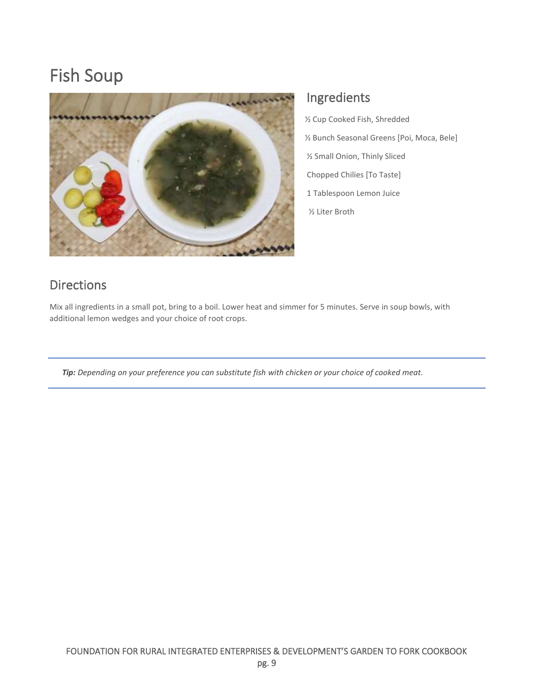### <span id="page-12-0"></span>Fish Soup



#### Ingredients

 ½ Cup Cooked Fish, Shredded ½ Bunch Seasonal Greens [Poi, Moca, Bele] ½ Small Onion, Thinly Sliced Chopped Chilies [To Taste] 1 Tablespoon Lemon Juice ½ Liter Broth

#### Directions

Mix all ingredients in a small pot, bring to a boil. Lower heat and simmer for 5 minutes. Serve in soup bowls, with additional lemon wedges and your choice of root crops.

*Tip: Depending on your preference you can substitute fish with chicken or your choice of cooked meat.*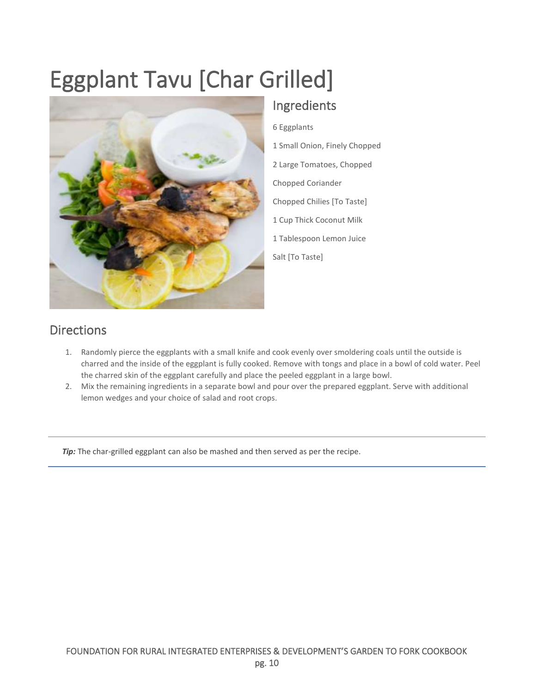## <span id="page-13-0"></span>Eggplant Tavu [Char Grilled]



### Ingredients

6 Eggplants 1 Small Onion, Finely Chopped 2 Large Tomatoes, Chopped Chopped Coriander Chopped Chilies [To Taste] 1 Cup Thick Coconut Milk 1 Tablespoon Lemon Juice Salt [To Taste]

### Directions

- 1. Randomly pierce the eggplants with a small knife and cook evenly over smoldering coals until the outside is charred and the inside of the eggplant is fully cooked. Remove with tongs and place in a bowl of cold water. Peel the charred skin of the eggplant carefully and place the peeled eggplant in a large bowl.
- 2. Mix the remaining ingredients in a separate bowl and pour over the prepared eggplant. Serve with additional lemon wedges and your choice of salad and root crops.

*Tip*: The char-grilled eggplant can also be mashed and then served as per the recipe.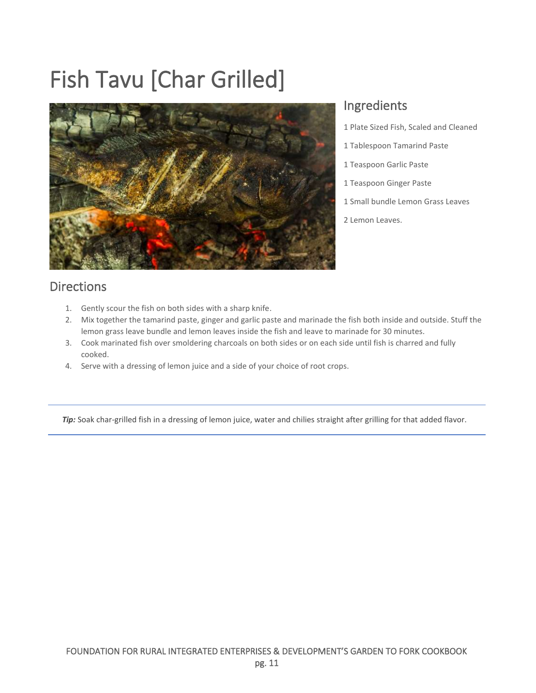## <span id="page-14-0"></span>Fish Tavu [Char Grilled]



#### Ingredients

- 1 Plate Sized Fish, Scaled and Cleaned
- 1 Tablespoon Tamarind Paste
- 1 Teaspoon Garlic Paste
- 1 Teaspoon Ginger Paste
- 1 Small bundle Lemon Grass Leaves
- 2 Lemon Leaves.

### Directions

- 1. Gently scour the fish on both sides with a sharp knife.
- 2. Mix together the tamarind paste, ginger and garlic paste and marinade the fish both inside and outside. Stuff the lemon grass leave bundle and lemon leaves inside the fish and leave to marinade for 30 minutes.
- 3. Cook marinated fish over smoldering charcoals on both sides or on each side until fish is charred and fully cooked.
- 4. Serve with a dressing of lemon juice and a side of your choice of root crops.

*Tip:* Soak char-grilled fish in a dressing of lemon juice, water and chilies straight after grilling for that added flavor.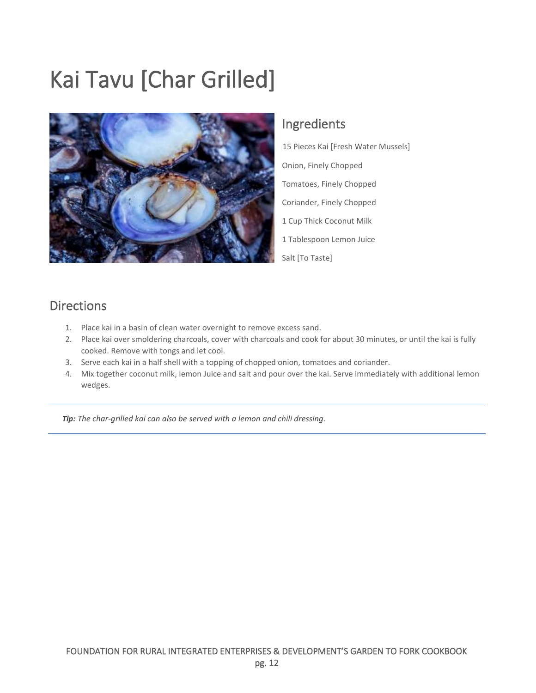### <span id="page-15-0"></span>Kai Tavu [Char Grilled]



#### Ingredients

15 Pieces Kai [Fresh Water Mussels] Onion, Finely Chopped Tomatoes, Finely Chopped Coriander, Finely Chopped 1 Cup Thick Coconut Milk 1 Tablespoon Lemon Juice Salt [To Taste]

### Directions

- 1. Place kai in a basin of clean water overnight to remove excess sand.
- 2. Place kai over smoldering charcoals, cover with charcoals and cook for about 30 minutes, or until the kai is fully cooked. Remove with tongs and let cool.
- 3. Serve each kai in a half shell with a topping of chopped onion, tomatoes and coriander.
- 4. Mix together coconut milk, lemon Juice and salt and pour over the kai. Serve immediately with additional lemon wedges.

*Tip: The char-grilled kai can also be served with a lemon and chili dressing*.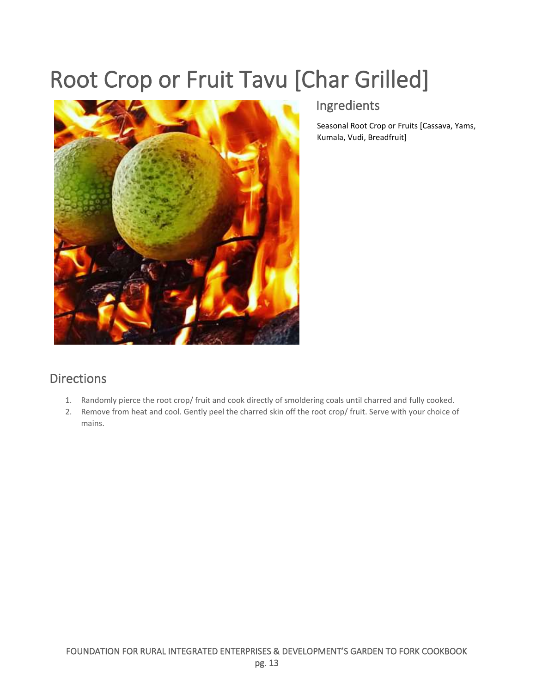### <span id="page-16-0"></span>Root Crop or Fruit Tavu [Char Grilled]



### Ingredients

Seasonal Root Crop or Fruits [Cassava, Yams, Kumala, Vudi, Breadfruit]

#### **Directions**

- 1. Randomly pierce the root crop/ fruit and cook directly of smoldering coals until charred and fully cooked.
- 2. Remove from heat and cool. Gently peel the charred skin off the root crop/ fruit. Serve with your choice of mains.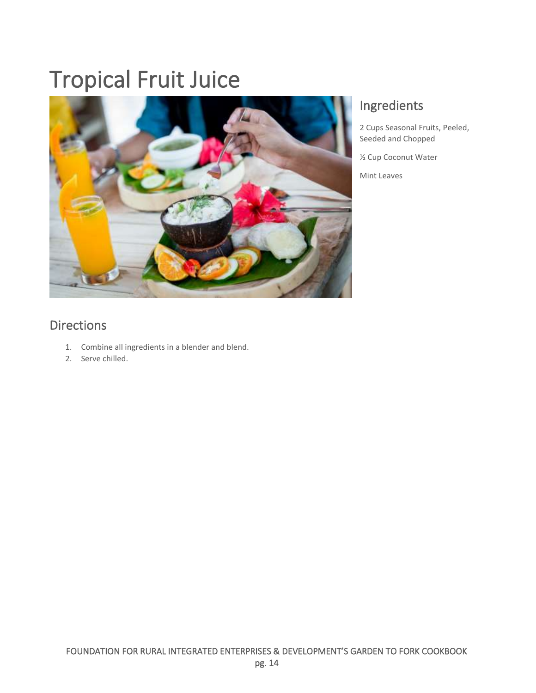## <span id="page-17-0"></span>Tropical Fruit Juice



### Ingredients

2 Cups Seasonal Fruits, Peeled, Seeded and Chopped

½ Cup Coconut Water

Mint Leaves

### **Directions**

- 1. Combine all ingredients in a blender and blend.
- 2. Serve chilled.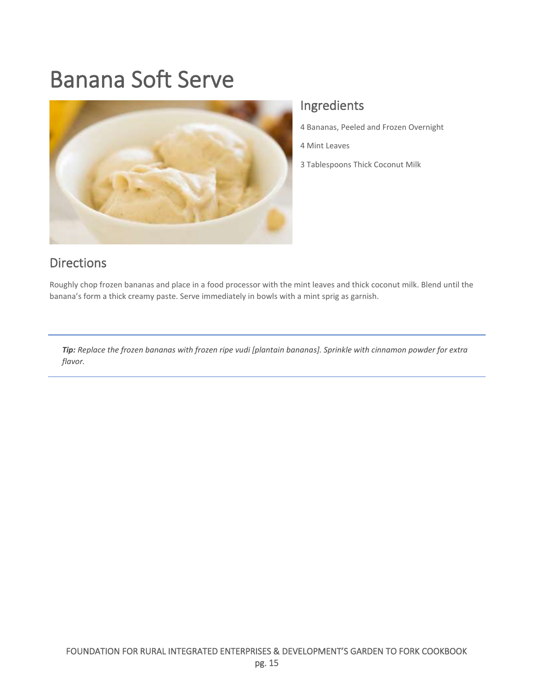### <span id="page-18-0"></span>Banana Soft Serve



#### Ingredients

4 Bananas, Peeled and Frozen Overnight

4 Mint Leaves

3 Tablespoons Thick Coconut Milk

#### Directions

Roughly chop frozen bananas and place in a food processor with the mint leaves and thick coconut milk. Blend until the banana's form a thick creamy paste. Serve immediately in bowls with a mint sprig as garnish.

*Tip: Replace the frozen bananas with frozen ripe vudi [plantain bananas]. Sprinkle with cinnamon powder for extra flavor.*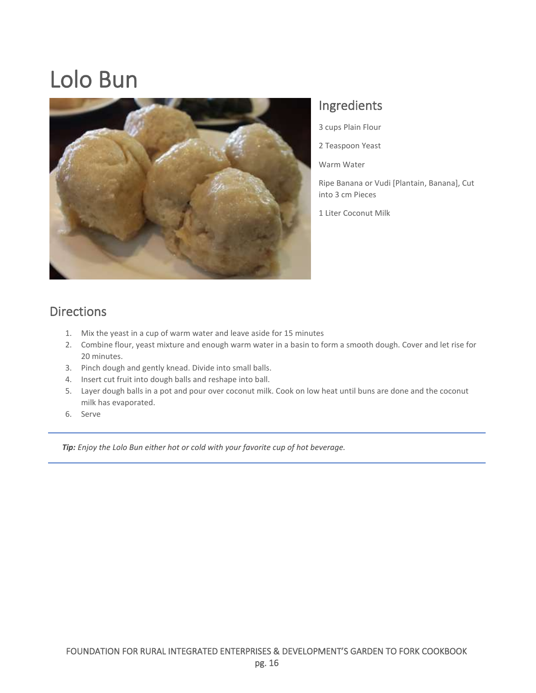### <span id="page-19-0"></span>Lolo Bun



#### Ingredients

3 cups Plain Flour

2 Teaspoon Yeast

Warm Water

Ripe Banana or Vudi [Plantain, Banana], Cut into 3 cm Pieces

1 Liter Coconut Milk

#### Directions

- 1. Mix the yeast in a cup of warm water and leave aside for 15 minutes
- 2. Combine flour, yeast mixture and enough warm water in a basin to form a smooth dough. Cover and let rise for 20 minutes.
- 3. Pinch dough and gently knead. Divide into small balls.
- 4. Insert cut fruit into dough balls and reshape into ball.
- 5. Layer dough balls in a pot and pour over coconut milk. Cook on low heat until buns are done and the coconut milk has evaporated.
- 6. Serve

*Tip: Enjoy the Lolo Bun either hot or cold with your favorite cup of hot beverage.*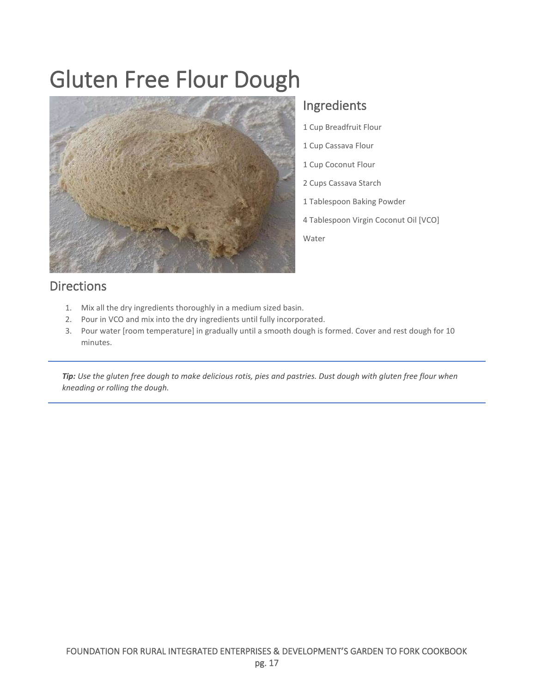### <span id="page-20-0"></span>Gluten Free Flour Dough



#### Ingredients

- 1 Cup Breadfruit Flour
- 1 Cup Cassava Flour
- 1 Cup Coconut Flour
- 2 Cups Cassava Starch
- 1 Tablespoon Baking Powder
- 4 Tablespoon Virgin Coconut Oil [VCO]

Water

#### Directions

- 1. Mix all the dry ingredients thoroughly in a medium sized basin.
- 2. Pour in VCO and mix into the dry ingredients until fully incorporated.
- 3. Pour water [room temperature] in gradually until a smooth dough is formed. Cover and rest dough for 10 minutes.

*Tip: Use the gluten free dough to make delicious rotis, pies and pastries. Dust dough with gluten free flour when kneading or rolling the dough.*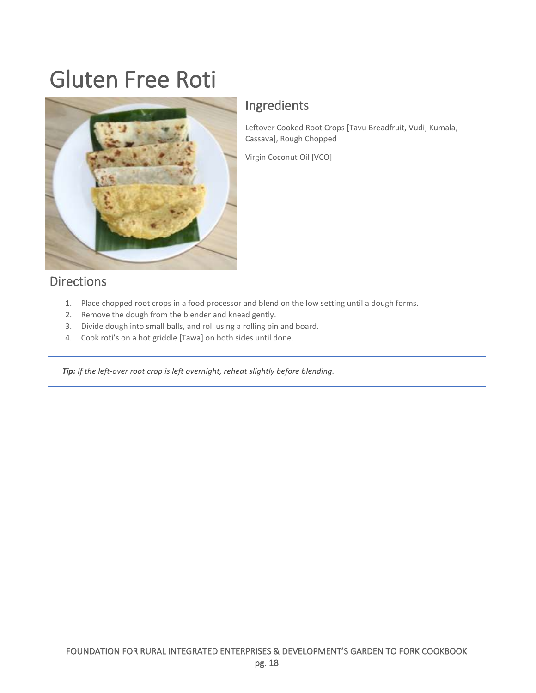### <span id="page-21-0"></span>Gluten Free Roti



#### Ingredients

Leftover Cooked Root Crops [Tavu Breadfruit, Vudi, Kumala, Cassava], Rough Chopped

Virgin Coconut Oil [VCO]

#### Directions

- 1. Place chopped root crops in a food processor and blend on the low setting until a dough forms.
- 2. Remove the dough from the blender and knead gently.
- 3. Divide dough into small balls, and roll using a rolling pin and board.
- 4. Cook roti's on a hot griddle [Tawa] on both sides until done.

*Tip: If the left-over root crop is left overnight, reheat slightly before blending.*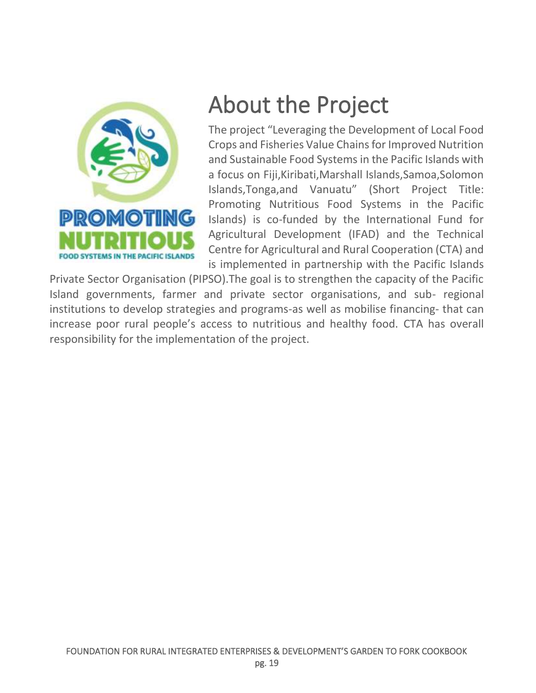

### <span id="page-22-0"></span>About the Project

The project "Leveraging the Development of Local Food Crops and Fisheries Value Chains for Improved Nutrition and Sustainable Food Systems in the Pacific Islands with a focus on Fiji,Kiribati,Marshall Islands,Samoa,Solomon Islands,Tonga,and Vanuatu" (Short Project Title: Promoting Nutritious Food Systems in the Pacific Islands) is co-funded by the International Fund for Agricultural Development (IFAD) and the Technical Centre for Agricultural and Rural Cooperation (CTA) and is implemented in partnership with the Pacific Islands

Private Sector Organisation (PIPSO).The goal is to strengthen the capacity of the Pacific Island governments, farmer and private sector organisations, and sub- regional institutions to develop strategies and programs-as well as mobilise financing- that can increase poor rural people's access to nutritious and healthy food. CTA has overall responsibility for the implementation of the project.